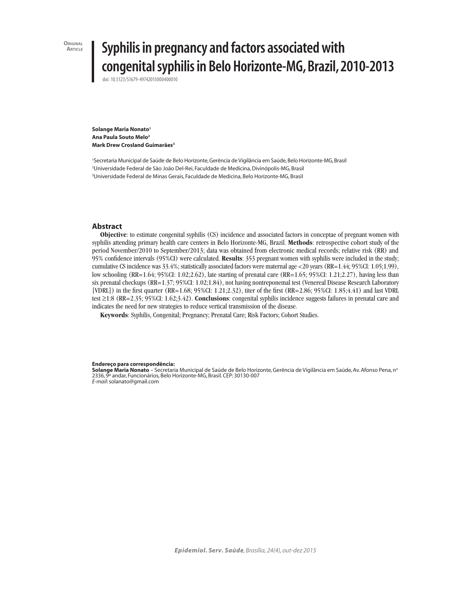**ORIGINAL**<br>**ARTICLE** 

# **Article Syphilis in pregnancy and factors associated with congenital syphilis in Belo Horizonte-MG, Brazil, 2010-2013**

doi: 10.5123/S1679-49742015000400010

**Solange Maria Nonato<sup>1</sup> Ana Paula Souto Melo2 Mark Drew Crosland Guimarães3**

1 Secretaria Municipal de Saúde de Belo Horizonte, Gerência de Vigilância em Saúde, Belo Horizonte-MG, Brasil 2 Universidade Federal de São João Del-Rei, Faculdade de Medicina, Divinópolis-MG, Brasil 3 Universidade Federal de Minas Gerais, Faculdade de Medicina, Belo Horizonte-MG, Brasil

## **Abstract**

**Objective**: to estimate congenital syphilis (CS) incidence and associated factors in conceptae of pregnant women with syphilis attending primary health care centers in Belo Horizonte-MG, Brazil. **Methods**: retrospective cohort study of the period November/2010 to September/2013; data was obtained from electronic medical records; relative risk (RR) and 95% confidence intervals (95%CI) were calculated. **Results**: 353 pregnant women with syphilis were included in the study; cumulative CS incidence was 33.4%; statistically associated factors were maternal age <20 years (RR=1.44; 95%CI: 1.05;1.99), low schooling (RR=1.64; 95%CI: 1.02;2.62), late starting of prenatal care (RR=1.65; 95%CI: 1.21;2.27), having less than six prenatal checkups (RR=1.37; 95%CI: 1.02;1.84), not having nontreponemal test (Venereal Disease Research Laboratory [VDRL]) in the first quarter  $(RR=1.68; 95\%$ CI:  $1.21;2.32$ ), titer of the first  $(RR=2.86; 95\%$ CI:  $1.85;4.41$  and last VDRL test ≥1:8 (RR=2.35; 95%CI: 1.62;3.42). **Conclusions**: congenital syphilis incidence suggests failures in prenatal care and indicates the need for new strategies to reduce vertical transmission of the disease.

**Keywords**: Syphilis, Congenital; Pregnancy; Prenatal Care; Risk Factors; Cohort Studies.

#### **Endereço para correspondência:**

**Solange Maria Nonato** – Secretaria Municipal de Saúde de Belo Horizonte, Gerência de Vigilância em Saúde, Av. Afonso Pena, no 2336, 9º andar, Funcionários, Belo Horizonte-MG, Brasil. CEP: 30130-007 *E-mail*: solanato@gmail.com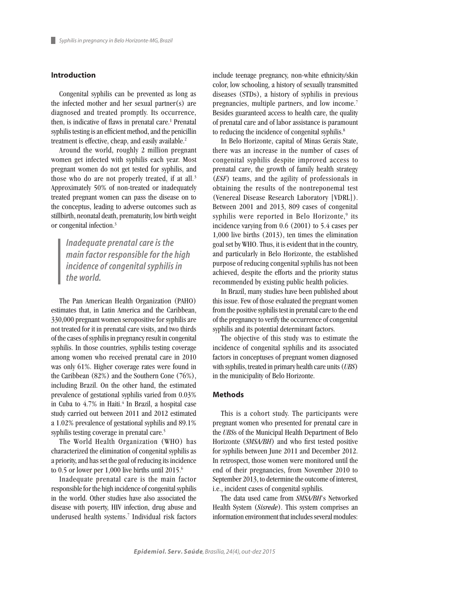## **Introduction**

Congenital syphilis can be prevented as long as the infected mother and her sexual partner(s) are diagnosed and treated promptly. Its occurrence, then, is indicative of flaws in prenatal care.<sup>1</sup> Prenatal syphilis testing is an efficient method, and the penicillin treatment is effective, cheap, and easily available.<sup>2</sup>

Around the world, roughly 2 million pregnant women get infected with syphilis each year. Most pregnant women do not get tested for syphilis, and those who do are not properly treated, if at all.<sup>3</sup> Approximately 50% of non-treated or inadequately treated pregnant women can pass the disease on to the conceptus, leading to adverse outcomes such as stillbirth, neonatal death, prematurity, low birth weight or congenital infection.3

*Inadequate prenatal care is the main factor responsible for the high incidence of congenital syphilis in the world.*

The Pan American Health Organization (PAHO) estimates that, in Latin America and the Caribbean, 330,000 pregnant women seropositive for syphilis are not treated for it in prenatal care visits, and two thirds of the cases of syphilis in pregnancy result in congenital syphilis. In those countries, syphilis testing coverage among women who received prenatal care in 2010 was only 61%. Higher coverage rates were found in the Caribbean (82%) and the Southern Cone (76%), including Brazil. On the other hand, the estimated prevalence of gestational syphilis varied from 0.03% in Cuba to 4.7% in Haiti.<sup>4</sup> In Brazil, a hospital case study carried out between 2011 and 2012 estimated a 1.02% prevalence of gestational syphilis and 89.1% syphilis testing coverage in prenatal care.<sup>5</sup>

The World Health Organization (WHO) has characterized the elimination of congenital syphilis as a priority, and has set the goal of reducing its incidence to 0.5 or lower per 1,000 live births until 2015.<sup>6</sup>

Inadequate prenatal care is the main factor responsible for the high incidence of congenital syphilis in the world. Other studies have also associated the disease with poverty, HIV infection, drug abuse and underused health systems.7 Individual risk factors include teenage pregnancy, non-white ethnicity/skin color, low schooling, a history of sexually transmitted diseases (STDs), a history of syphilis in previous pregnancies, multiple partners, and low income.<sup>7</sup> Besides guaranteed access to health care, the quality of prenatal care and of labor assistance is paramount to reducing the incidence of congenital syphilis.<sup>8</sup>

In Belo Horizonte, capital of Minas Gerais State, there was an increase in the number of cases of congenital syphilis despite improved access to prenatal care, the growth of family health strategy (*ESF*) teams, and the agility of professionals in obtaining the results of the nontreponemal test (Venereal Disease Research Laboratory [VDRL]). Between 2001 and 2013, 809 cases of congenital syphilis were reported in Belo Horizonte,<sup>9</sup> its incidence varying from 0.6 (2001) to 5.4 cases per 1,000 live births (2013), ten times the elimination goal set by WHO. Thus, it is evident that in the country, and particularly in Belo Horizonte, the established purpose of reducing congenital syphilis has not been achieved, despite the efforts and the priority status recommended by existing public health policies.

In Brazil, many studies have been published about this issue. Few of those evaluated the pregnant women from the positive syphilis test in prenatal care to the end of the pregnancy to verify the occurrence of congenital syphilis and its potential determinant factors.

The objective of this study was to estimate the incidence of congenital syphilis and its associated factors in conceptuses of pregnant women diagnosed with syphilis, treated in primary health care units (*UBS*) in the municipality of Belo Horizonte.

## **Methods**

This is a cohort study. The participants were pregnant women who presented for prenatal care in the *UBS*s of the Municipal Health Department of Belo Horizonte (*SMSA/BH*) and who first tested positive for syphilis between June 2011 and December 2012. In retrospect, those women were monitored until the end of their pregnancies, from November 2010 to September 2013, to determine the outcome of interest, i.e., incident cases of congenital syphilis.

The data used came from *SMSA/BH*'s Networked Health System (*Sisrede*). This system comprises an information environment that includes several modules: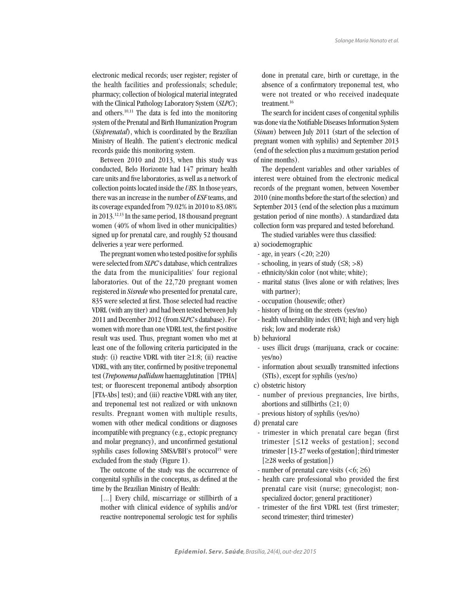electronic medical records; user register; register of the health facilities and professionals; schedule; pharmacy; collection of biological material integrated with the Clinical Pathology Laboratory System (*SLPC*); and others.10,11 The data is fed into the monitoring system of the Prenatal and Birth Humanization Program (*Sisprenatal*), which is coordinated by the Brazilian Ministry of Health. The patient's electronic medical records guide this monitoring system.

Between 2010 and 2013, when this study was conducted, Belo Horizonte had 147 primary health care units and five laboratories, as well as a network of collection points located inside the *UBS*. In those years, there was an increase in the number of *ESF* teams, and its coverage expanded from 79.02% in 2010 to 83.08% in 2013.12,13 In the same period, 18 thousand pregnant women (40% of whom lived in other municipalities) signed up for prenatal care, and roughly 52 thousand deliveries a year were performed.

The pregnant women who tested positive for syphilis were selected from *SLPC*'s database, which centralizes the data from the municipalities' four regional laboratories. Out of the 22,720 pregnant women registered in *Sisrede* who presented for prenatal care, 835 were selected at first. Those selected had reactive VDRL (with any titer) and had been tested between July 2011 and December 2012 (from *SLPC*'s database). For women with more than one VDRL test, the first positive result was used. Thus, pregnant women who met at least one of the following criteria participated in the study: (i) reactive VDRL with titer  $\geq$ 1:8; (ii) reactive VDRL, with any titer, confirmed by positive treponemal test (*Treponema pallidum* haemagglutination [TPHA] test; or fluorescent treponemal antibody absorption [FTA-Abs] test); and (iii) reactive VDRL with any titer, and treponemal test not realized or with unknown results. Pregnant women with multiple results, women with other medical conditions or diagnoses incompatible with pregnancy (e.g., ectopic pregnancy and molar pregnancy), and unconfirmed gestational syphilis cases following SMSA/BH's protocol<sup>15</sup> were excluded from the study (Figure 1).

The outcome of the study was the occurrence of congenital syphilis in the conceptus, as defined at the time by the Brazilian Ministry of Health:

[...] Every child, miscarriage or stillbirth of a mother with clinical evidence of syphilis and/or reactive nontreponemal serologic test for syphilis

done in prenatal care, birth or curettage, in the absence of a confirmatory treponemal test, who were not treated or who received inadequate treatment.16

The search for incident cases of congenital syphilis was done via the Notifiable Diseases Information System (*Sinan*) between July 2011 (start of the selection of pregnant women with syphilis) and September 2013 (end of the selection plus a maximum gestation period of nine months).

The dependent variables and other variables of interest were obtained from the electronic medical records of the pregnant women, between November 2010 (nine months before the start of the selection) and September 2013 (end of the selection plus a maximum gestation period of nine months). A standardized data collection form was prepared and tested beforehand.

The studied variables were thus classified:

- a) sociodemographic
- age, in years  $(<20; \geq 20)$
- schooling, in years of study  $(≤8; >8)$
- ethnicity/skin color (not white; white);
- marital status (lives alone or with relatives; lives with partner):
- occupation (housewife; other)
- history of living on the streets (yes/no)
- health vulnerability index (HVI; high and very high risk; low and moderate risk)
- b) behavioral
	- uses illicit drugs (marijuana, crack or cocaine: yes/no)
	- information about sexually transmitted infections (STIs), except for syphilis (yes/no)
- c) obstetric history
- number of previous pregnancies, live births, abortions and stillbirths  $(≥1; 0)$
- previous history of syphilis (yes/no)
- d) prenatal care
- trimester in which prenatal care began (first trimester [≤12 weeks of gestation]; second trimester [13-27 weeks of gestation]; third trimester [≥28 weeks of gestation])
- number of prenatal care visits  $(<6; \geq 6)$
- health care professional who provided the first prenatal care visit (nurse; gynecologist; nonspecialized doctor; general practitioner)
- trimester of the first VDRL test (first trimester; second trimester; third trimester)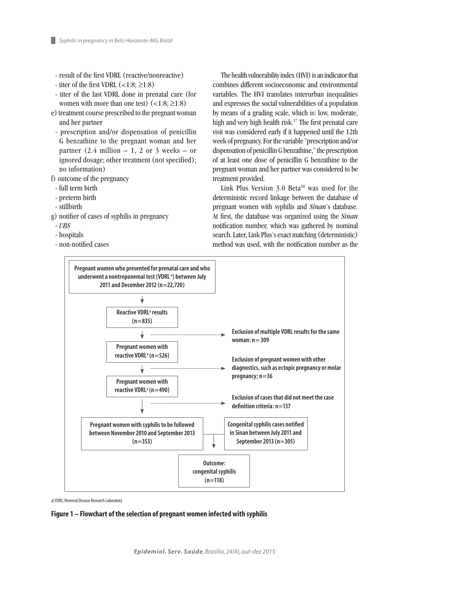- result of the first VDRL (reactive/nonreactive)
- titer of the first VDRL  $(<1:8; \geq 1:8)$
- titer of the last VDRL done in prenatal care (for women with more than one test)  $(<1:8; \geq 1:8)$
- e) treatment course prescribed to the pregnant woman and her partner
- prescription and/or dispensation of penicillin G benzathine to the pregnant woman and her partner  $(2.4 \text{ million} - 1, 2 \text{ or } 3 \text{ weeks} - \text{or } 3 \text{ weeks} - \text{or } 3 \text{ weeks} - \text{or } 3 \text{ weeks} - \text{or } 3 \text{ weeks} - \text{or } 3 \text{ weeks} - \text{or } 3 \text{ weeks} - \text{or } 3 \text{ weeks} - \text{or } 3 \text{ weeks} - \text{or } 3 \text{ weeks} - \text{or } 3 \text{ weeks} - \text{or } 3 \text{ weeks} - \text{or } 3 \text{ weeks} - \text{or } 3 \text{ weeks} - \text{or } 3 \text{ weeks} - \text$ ignored dosage; other treatment (not specified); no information)
- f) outcome of the pregnancy
- full term birth
- preterm birth
- stillbirth
- g) notifier of cases of syphilis in pregnancy
- *UBS*
- hospitals
- non-notified cases

The health vulnerability index (HVI) is an indicator that combines different socioeconomic and environmental variables. The HVI translates interurban inequalities and expresses the social vulnerabilities of a population by means of a grading scale, which is: low, moderate, high and very high health risk.<sup>17</sup> The first prenatal care visit was considered early if it happened until the 12th week of pregnancy. For the variable "prescription and/or dispensation of penicillin G benzathine," the prescription of at least one dose of penicillin G benzathine to the pregnant woman and her partner was considered to be treatment provided.

Link Plus Version 3.0 Beta<sup>18</sup> was used for the deterministic record linkage between the database of pregnant women with syphilis and *Sinan*'s database. At first, the database was organized using the *Sinan* notification number, which was gathered by nominal search. Later, Link Plus's exact matching (deterministic) method was used, with the notification number as the



a) VDRL: Venereal Disease Research Laboratory

## **Figure 1 – Flowchart of the selection of pregnant women infected with syphilis**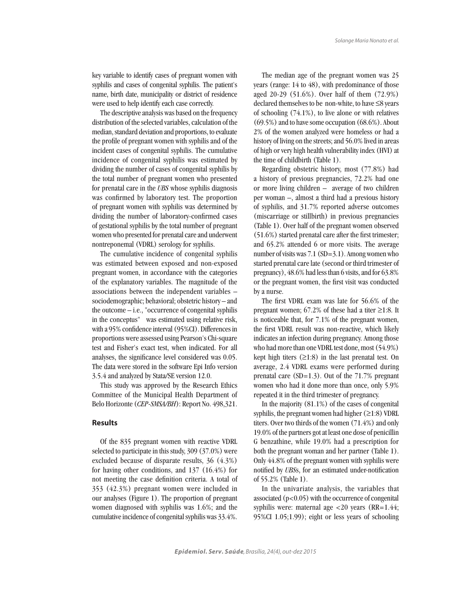key variable to identify cases of pregnant women with syphilis and cases of congenital syphilis. The patient's name, birth date, municipality or district of residence were used to help identify each case correctly.

The descriptive analysis was based on the frequency distribution of the selected variables, calculation of the median, standard deviation and proportions, to evaluate the profile of pregnant women with syphilis and of the incident cases of congenital syphilis. The cumulative incidence of congenital syphilis was estimated by dividing the number of cases of congenital syphilis by the total number of pregnant women who presented for prenatal care in the *UBS* whose syphilis diagnosis was confirmed by laboratory test. The proportion of pregnant women with syphilis was determined by dividing the number of laboratory-confirmed cases of gestational syphilis by the total number of pregnant women who presented for prenatal care and underwent nontreponemal (VDRL) serology for syphilis.

The cumulative incidence of congenital syphilis was estimated between exposed and non-exposed pregnant women, in accordance with the categories of the explanatory variables. The magnitude of the associations between the independent variables – sociodemographic; behavioral; obstetric history – and the outcome – i.e., "occurrence of congenital syphilis in the conceptus" was estimated using relative risk, with a 95% confidence interval (95%CI). Differences in proportions were assessed using Pearson's Chi-square test and Fisher's exact test, when indicated. For all analyses, the significance level considered was 0.05. The data were stored in the software Epi Info version 3.5.4 and analyzed by Stata/SE version 12.0.

This study was approved by the Research Ethics Committee of the Municipal Health Department of Belo Horizonte (*CEP-SMSA/BH*): Report No. 498,321.

#### **Results**

Of the 835 pregnant women with reactive VDRL selected to participate in this study, 309 (37.0%) were excluded because of disparate results, 36 (4.3%) for having other conditions, and 137 (16.4%) for not meeting the case definition criteria. A total of 353 (42.3%) pregnant women were included in our analyses (Figure 1). The proportion of pregnant women diagnosed with syphilis was 1.6%; and the cumulative incidence of congenital syphilis was 33.4%.

The median age of the pregnant women was 25 years (range: 14 to 48), with predominance of those aged 20-29 (51.6%). Over half of them (72.9%) declared themselves to be non-white, to have ≤8 years of schooling (74.1%), to live alone or with relatives (69.5%) and to have some occupation (68.6%). About 2% of the women analyzed were homeless or had a history of living on the streets; and 56.0% lived in areas of high or very high health vulnerability index (HVI) at the time of childbirth (Table 1).

Regarding obstetric history, most (77.8%) had a history of previous pregnancies, 72.2% had one or more living children – average of two children per woman –, almost a third had a previous history of syphilis, and 31.7% reported adverse outcomes (miscarriage or stillbirth) in previous pregnancies (Table 1). Over half of the pregnant women observed (51.6%) started prenatal care after the first trimester; and 65.2% attended 6 or more visits. The average number of visits was 7.1 (SD=3.1). Among women who started prenatal care late (second or third trimester of pregnancy), 48.6% had less than 6 visits, and for 63.8% or the pregnant women, the first visit was conducted by a nurse.

The first VDRL exam was late for 56.6% of the pregnant women; 67.2% of these had a titer ≥1:8. It is noticeable that, for 7.1% of the pregnant women, the first VDRL result was non-reactive, which likely indicates an infection during pregnancy. Among those who had more than one VDRL test done, most (54.9%) kept high titers  $(\geq 1:8)$  in the last prenatal test. On average, 2.4 VDRL exams were performed during prenatal care  $(SD=1.3)$ . Out of the 71.7% pregnant women who had it done more than once, only 5.9% repeated it in the third trimester of pregnancy.

In the majority (81.1%) of the cases of congenital syphilis, the pregnant women had higher  $(\geq 1:8)$  VDRL titers. Over two thirds of the women (71.4%) and only 19.0% of the partners got at least one dose of penicillin G benzathine, while 19.0% had a prescription for both the pregnant woman and her partner (Table 1). Only 44.8% of the pregnant women with syphilis were notified by *UBS*s, for an estimated under-notification of 55.2% (Table 1).

In the univariate analysis, the variables that associated  $(p<0.05)$  with the occurrence of congenital syphilis were: maternal age  $\langle 20 \rangle$  years (RR=1.44; 95%CI 1.05;1.99); eight or less years of schooling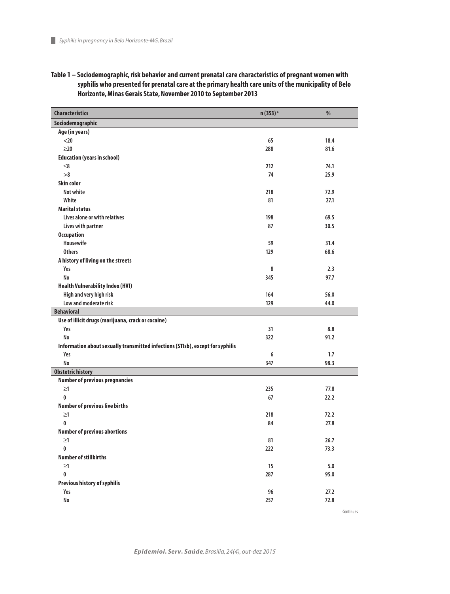| <b>Characteristics</b>                                                         | n (353) <sup>a</sup> | $\%$         |
|--------------------------------------------------------------------------------|----------------------|--------------|
| Sociodemographic                                                               |                      |              |
| Age (in years)                                                                 |                      |              |
| $20$                                                                           | 65                   | 18.4         |
| $\geq$ 20                                                                      | 288                  | 81.6         |
| <b>Education (years in school)</b>                                             |                      |              |
| $\leq$ 8                                                                       | 212                  | 74.1         |
| >8                                                                             | 74                   | 25.9         |
| <b>Skin color</b>                                                              |                      |              |
| <b>Not white</b>                                                               | 218                  | 72.9         |
| White                                                                          | 81                   | 27.1         |
| <b>Marital status</b>                                                          |                      |              |
| Lives alone or with relatives                                                  | 198                  | 69.5         |
| Lives with partner                                                             | 87                   | 30.5         |
| <b>Occupation</b>                                                              |                      |              |
| Housewife                                                                      | 59                   | 31.4         |
| <b>Others</b>                                                                  | 129                  | 68.6         |
| A history of living on the streets                                             |                      |              |
| Yes                                                                            | 8                    | 2.3          |
| <b>No</b>                                                                      | 345                  | 97.7         |
| <b>Health Vulnerability Index (HVI)</b>                                        |                      |              |
| High and very high risk                                                        | 164                  | 56.0         |
| Low and moderate risk                                                          | 129                  | 44.0         |
| <b>Behavioral</b>                                                              |                      |              |
| Use of illicit drugs (marijuana, crack or cocaine)                             |                      |              |
| Yes                                                                            | 31                   | 8.8          |
| <b>No</b>                                                                      | 322                  | 91.2         |
| Information about sexually transmitted infections (STIsb), except for syphilis |                      |              |
| Yes                                                                            | 6                    | 1.7          |
| <b>No</b>                                                                      | 347                  | 98.3         |
| <b>Obstetric history</b>                                                       |                      |              |
| <b>Number of previous pregnancies</b><br>$\geq1$                               |                      |              |
| 0                                                                              | 235<br>67            | 77.8<br>22.2 |
| <b>Number of previous live births</b>                                          |                      |              |
| $\geq1$                                                                        | 218                  | 72.2         |
| 0                                                                              | 84                   | 27.8         |
| <b>Number of previous abortions</b>                                            |                      |              |
| $\geq1$                                                                        | 81                   | 26.7         |
| $\bf{0}$                                                                       | 222                  | 73.3         |
| <b>Number of stillbirths</b>                                                   |                      |              |
| $\geq1$                                                                        | 15                   | $5.0$        |
| $\bf{0}$                                                                       | 287                  | 95.0         |
| Previous history of syphilis                                                   |                      |              |
| Yes                                                                            | 96                   | 27.2         |
| No                                                                             | 257                  | 72.8         |
|                                                                                |                      | Continues    |

## **Table 1 – Sociodemographic, risk behavior and current prenatal care characteristics of pregnant women with syphilis who presented for prenatal care at the primary health care units of the municipality of Belo Horizonte, Minas Gerais State, November 2010 to September 2013**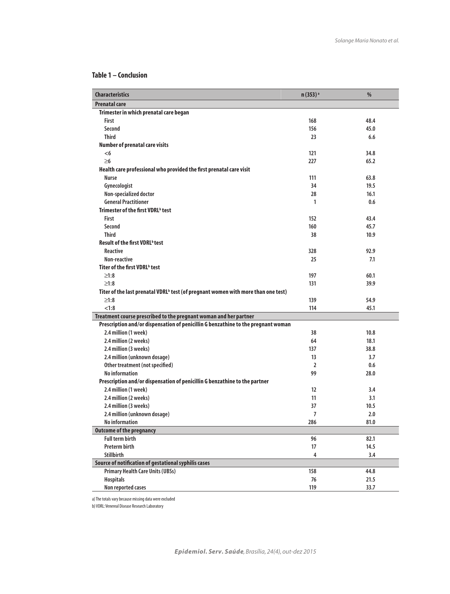## **Table 1 – Conclusion**

| <b>Characteristics</b>                                                                        | n (353) <sup>a</sup> | %    |
|-----------------------------------------------------------------------------------------------|----------------------|------|
| <b>Prenatal care</b>                                                                          |                      |      |
| Trimester in which prenatal care began                                                        |                      |      |
| <b>First</b>                                                                                  | 168                  | 48.4 |
| Second                                                                                        | 156                  | 45.0 |
| <b>Third</b>                                                                                  | 23                   | 6.6  |
| <b>Number of prenatal care visits</b>                                                         |                      |      |
| < 6                                                                                           | 121                  | 34.8 |
| $\geq 6$                                                                                      | 227                  | 65.2 |
| Health care professional who provided the first prenatal care visit                           |                      |      |
| <b>Nurse</b>                                                                                  | 111                  | 63.8 |
| Gynecologist                                                                                  | 34                   | 19.5 |
| Non-specialized doctor                                                                        | 28                   | 16.1 |
| <b>General Practitioner</b>                                                                   | 1                    | 0.6  |
| Trimester of the first VDRL <sup>b</sup> test                                                 |                      |      |
| <b>First</b>                                                                                  | 152                  | 43.4 |
| Second                                                                                        | 160                  | 45.7 |
| <b>Third</b>                                                                                  | 38                   | 10.9 |
| <b>Result of the first VDRL</b> <sup>b</sup> test                                             |                      |      |
| Reactive                                                                                      | 328                  | 92.9 |
| Non-reactive                                                                                  | 25                   | 7.1  |
| Titer of the first VDRL <sup>b</sup> test                                                     |                      |      |
| $\geq1:8$                                                                                     | 197                  | 60.1 |
| $\geq1:8$                                                                                     | 131                  | 39.9 |
| Titer of the last prenatal VDRL <sup>b</sup> test (of pregnant women with more than one test) |                      |      |
| $\geq1:8$                                                                                     | 139                  | 54.9 |
| < 1:8                                                                                         | 114                  | 45.1 |
| Treatment course prescribed to the pregnant woman and her partner                             |                      |      |
| Prescription and/or dispensation of penicillin G benzathine to the pregnant woman             |                      |      |
| 2.4 million (1 week)                                                                          | 38                   | 10.8 |
| 2.4 million (2 weeks)                                                                         | 64                   | 18.1 |
| 2.4 million (3 weeks)                                                                         | 137                  | 38.8 |
| 2.4 million (unknown dosage)                                                                  | 13                   | 3.7  |
| Other treatment (not specified)                                                               | $\overline{2}$       | 0.6  |
| No information                                                                                | 99                   | 28.0 |
| Prescription and/or dispensation of penicillin G benzathine to the partner                    |                      |      |
| 2.4 million (1 week)                                                                          | $12 \overline{ }$    | 3.4  |
| 2.4 million (2 weeks)                                                                         | 11                   | 3.1  |
| 2.4 million (3 weeks)                                                                         | 37                   | 10.5 |
| 2.4 million (unknown dosage)                                                                  | 7                    | 2.0  |
| <b>No information</b>                                                                         | 286                  | 81.0 |
| <b>Outcome of the pregnancy</b>                                                               |                      |      |
| <b>Full term birth</b>                                                                        | 96                   | 82.1 |
| <b>Preterm birth</b>                                                                          | 17                   | 14.5 |
| Stillbirth                                                                                    | 4                    | 3.4  |
| Source of notification of gestational syphilis cases                                          |                      |      |
| <b>Primary Health Care Units (UBSs)</b>                                                       | 158                  | 44.8 |
| <b>Hospitals</b>                                                                              | 76                   | 21.5 |
| Non reported cases                                                                            | 119                  | 33.7 |

a) The totals vary because missing data were excluded

b) VDRL: Venereal Disease Research Laboratory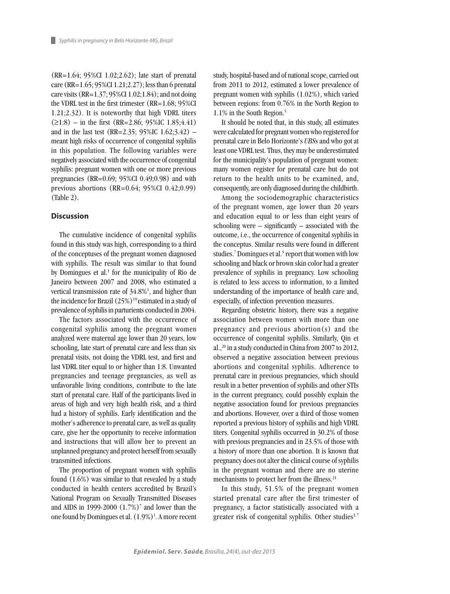(RR=1.64; 95%CI 1.02;2.62); late start of prenatal care (RR=1.65; 95%CI 1.21;2.27); less than 6 prenatal care visits (RR=1.37; 95%CI 1.02;1.84); and not doing the VDRL test in the first trimester (RR=1.68; 95%CI 1.21;2.32). It is noteworthy that high VDRL titers  $(\geq 1:8)$  – in the first (RR=2.86; 95%IC 1.85;4.41) and in the last test (RR=2.35; 95%IC  $1.62$ ; 3.42) – meant high risks of occurrence of congenital syphilis in this population. The following variables were negatively associated with the occurrence of congenital syphilis: pregnant women with one or more previous pregnancies (RR=0.69; 95%CI 0.49;0.98) and with previous abortions (RR=0.64; 95%CI 0.42;0.99) (Table 2).

## **Discussion**

The cumulative incidence of congenital syphilis found in this study was high, corresponding to a third of the conceptuses of the pregnant women diagnosed with syphilis. The result was similar to that found by Domingues et al.<sup>1</sup> for the municipality of Rio de Janeiro between 2007 and 2008, who estimated a vertical transmission rate of 34.8%1 , and higher than the incidence for Brazil  $(25\%)$ <sup>19</sup> estimated in a study of prevalence of syphilis in parturients conducted in 2004.

The factors associated with the occurrence of congenital syphilis among the pregnant women analyzed were maternal age lower than 20 years, low schooling, late start of prenatal care and less than six prenatal visits, not doing the VDRL test, and first and last VDRL titer equal to or higher than 1:8. Unwanted pregnancies and teenage pregnancies, as well as unfavorable living conditions, contribute to the late start of prenatal care. Half of the participants lived in areas of high and very high health risk, and a third had a history of syphilis. Early identification and the mother's adherence to prenatal care, as well as quality care, give her the opportunity to receive information and instructions that will allow her to prevent an unplanned pregnancy and protect herself from sexually transmitted infections.

The proportion of pregnant women with syphilis found (1.6%) was similar to that revealed by a study conducted in health centers accredited by Brazil's National Program on Sexually Transmitted Diseases and AIDS in 1999-2000  $(1.7%)^7$  and lower than the one found by Domingues et al.  $(1.9\%)$ <sup>1</sup>. A more recent study, hospital-based and of national scope, carried out from 2011 to 2012, estimated a lower prevalence of pregnant women with syphilis (1.02%), which varied between regions: from 0.76% in the North Region to 1.1% in the South Region.5

It should be noted that, in this study, all estimates were calculated for pregnant women who registered for prenatal care in Belo Horizonte's *UBS*s and who got at least one VDRL test. Thus, they may be underestimated for the municipality's population of pregnant women: many women register for prenatal care but do not return to the health units to be examined, and, consequently, are only diagnosed during the childbirth.

Among the sociodemographic characteristics of the pregnant women, age lower than 20 years and education equal to or less than eight years of schooling were – significantly – associated with the outcome, i.e., the occurrence of congenital syphilis in the conceptus. Similar results were found in different studies.<sup>7</sup> Domingues et al.<sup>5</sup> report that women with low schooling and black or brown skin color had a greater prevalence of syphilis in pregnancy. Low schooling is related to less access to information, to a limited understanding of the importance of health care and, especially, of infection prevention measures.

Regarding obstetric history, there was a negative association between women with more than one pregnancy and previous abortion(s) and the occurrence of congenital syphilis. Similarly, Qin et al.,20 in a study conducted in China from 2007 to 2012, observed a negative association between previous abortions and congenital syphilis. Adherence to prenatal care in previous pregnancies, which should result in a better prevention of syphilis and other STIs in the current pregnancy, could possibly explain the negative association found for previous pregnancies and abortions. However, over a third of those women reported a previous history of syphilis and high VDRL titers. Congenital syphilis occurred in 30.2% of those with previous pregnancies and in 23.5% of those with a history of more than one abortion. It is known that pregnancy does not alter the clinical course of syphilis in the pregnant woman and there are no uterine mechanisms to protect her from the illness.<sup>21</sup>

In this study, 51.5% of the pregnant women started prenatal care after the first trimester of pregnancy, a factor statistically associated with a greater risk of congenital syphilis. Other studies $1,7$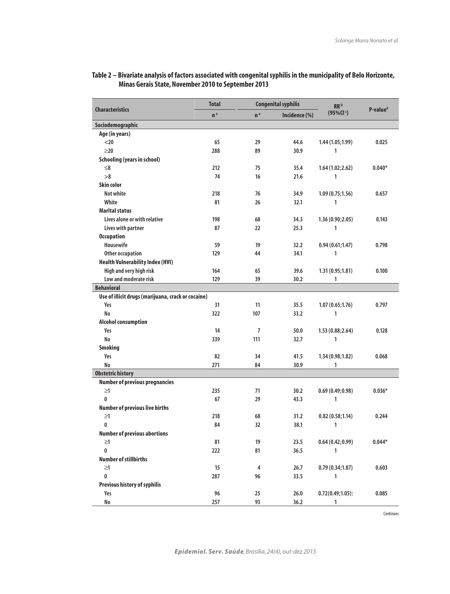|                                                    | <b>Total</b>   | <b>Congenital syphilis</b> |               | RR <sup>b</sup>     |                      |
|----------------------------------------------------|----------------|----------------------------|---------------|---------------------|----------------------|
| <b>Characteristics</b>                             | n <sup>a</sup> | n <sup>a</sup>             | Incidence (%) | $(95\% CI)$         | P-value <sup>d</sup> |
| Sociodemographic                                   |                |                            |               |                     |                      |
| Age (in years)                                     |                |                            |               |                     |                      |
| $20$                                               | 65             | 29                         | 44.6          | 1.44(1.05;1.99)     | 0.025                |
| $\geq$ 20                                          | 288            | 89                         | 30.9          | 1                   |                      |
| <b>Schooling (years in school)</b>                 |                |                            |               |                     |                      |
| $\leq 8$                                           | 212            | 75                         | 35.4          | 1.64(1.02;2.62)     | $0.040*$             |
| >8                                                 | 74             | 16                         | 21.6          | $\mathbf{1}$        |                      |
| <b>Skin color</b>                                  |                |                            |               |                     |                      |
| <b>Not white</b>                                   | 218            | 76                         | 34.9          | 1.09(0.75;1.56)     | 0.657                |
| White                                              | 81             | 26                         | 32.1          | 1                   |                      |
| <b>Marital status</b>                              |                |                            |               |                     |                      |
| Lives alone or with relative                       | 198            | 68                         | 34.3          | 1.36(0.90;2.05)     | 0.143                |
| Lives with partner                                 | 87             | 22                         | 25.3          | 1                   |                      |
| <b>Occupation</b>                                  |                |                            |               |                     |                      |
| Housewife                                          | 59             | 19                         | 32.2          | 0.94(0.61;1.47)     | 0.798                |
| Other occupation                                   | 129            | 44                         | 34.1          | 1                   |                      |
| <b>Health Vulnerability Index (HVI)</b>            |                |                            |               |                     |                      |
| High and very high risk                            | 164            | 65                         | 39.6          | 1.31(0.95;1.81)     | 0.100                |
| Low and moderate risk                              | 129            | 39                         | 30.2          | 1                   |                      |
| <b>Behavioral</b>                                  |                |                            |               |                     |                      |
| Use of illicit drugs (marijuana, crack or cocaine) |                |                            |               |                     |                      |
| Yes                                                | 31             | 11                         | 35.5          | 1.07(0.65;1.76)     | 0.797                |
| No                                                 | 322            | 107                        | 33.2          | 1                   |                      |
| <b>Alcohol consumption</b>                         |                |                            |               |                     |                      |
| Yes                                                | 14             | 7                          | 50.0          | 1.53(0.88;2.64)     | 0.128                |
| No                                                 | 339            | 111                        | 32.7          | 1                   |                      |
| <b>Smoking</b>                                     |                |                            |               |                     |                      |
| Yes                                                | 82             | 34                         | 41.5          | 1.34(0.98;1.82)     | 0.068                |
| <b>No</b>                                          | 271            | 84                         | 30.9          | 1                   |                      |
| <b>Obstetric history</b>                           |                |                            |               |                     |                      |
| <b>Number of previous pregnancies</b>              |                |                            |               |                     |                      |
| $\geq1$                                            | 235            | 71                         | 30.2          | 0.69(0.49;0.98)     | $0.036*$             |
| $\bf{0}$                                           | 67             | 29                         | 43.3          | 1                   |                      |
| <b>Number of previous live births</b>              |                |                            |               |                     |                      |
| $\geq1$                                            | 218            | 68                         | 31.2          | 0.82(0.58;1.14)     | 0.244                |
| $\pmb{0}$                                          | 84             | 32                         | 38.1          | 1                   |                      |
| <b>Number of previous abortions</b>                |                |                            |               |                     |                      |
| $\geq1$                                            | 81             | 19                         | 23.5          | 0.64(0.42;0.99)     | $0.044*$             |
| $\pmb{0}$                                          | 222            | 81                         | 36.5          | $\mathbf{1}$        |                      |
| <b>Number of stillbirths</b>                       |                |                            |               |                     |                      |
| $\geq1$                                            | 15             | $\overline{\mathbf{4}}$    | 26.7          | 0.79(0.34;1.87)     | 0.603                |
| $\pmb{0}$                                          | 287            | 96                         | 33.5          | 1                   |                      |
| Previous history of syphilis                       |                |                            |               |                     |                      |
| Yes                                                | 96             | 25                         | 26.0          | $0.72(0.49;1.05)$ : | 0.085                |
| No                                                 | 257            | 93                         | 36.2          | 1                   |                      |

## **Table 2 – Bivariate analysis of factors associated with congenital syphilis in the municipality of Belo Horizonte, Minas Gerais State, November 2010 to September 2013**

Continues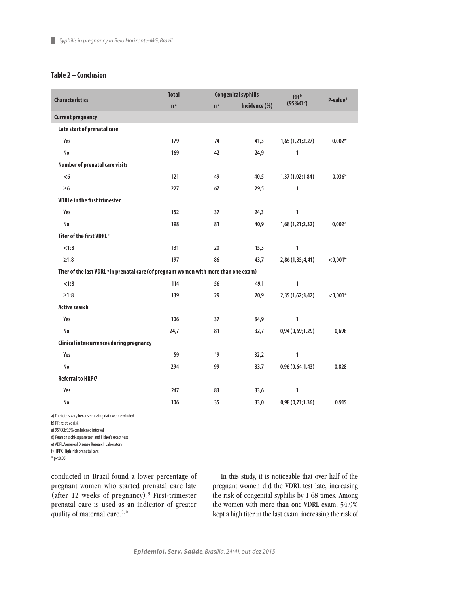## **Table 2 – Conclusion**

| <b>Characteristics</b>                                                                           | <b>Total</b>   |                | <b>Congenital syphilis</b> | RR <sup>b</sup><br>$(95\% CI)$ | P-value <sup>d</sup> |
|--------------------------------------------------------------------------------------------------|----------------|----------------|----------------------------|--------------------------------|----------------------|
|                                                                                                  | n <sup>a</sup> | n <sup>a</sup> | Incidence (%)              |                                |                      |
| <b>Current pregnancy</b>                                                                         |                |                |                            |                                |                      |
| Late start of prenatal care                                                                      |                |                |                            |                                |                      |
| Yes                                                                                              | 179            | 74             | 41,3                       | 1,65(1,21;2,27)                | $0,002*$             |
| <b>No</b>                                                                                        | 169            | 42             | 24,9                       | 1                              |                      |
| <b>Number of prenatal care visits</b>                                                            |                |                |                            |                                |                      |
| < 6                                                                                              | 121            | 49             | 40,5                       | 1,37 (1,02;1,84)               | $0,036*$             |
| $\geq 6$                                                                                         | 227            | 67             | 29,5                       | 1                              |                      |
| <b>VDRLe in the first trimester</b>                                                              |                |                |                            |                                |                      |
| Yes                                                                                              | 152            | 37             | 24,3                       | 1                              |                      |
| <b>No</b>                                                                                        | 198            | 81             | 40,9                       | 1,68 (1,21;2,32)               | $0,002*$             |
| Titer of the first VDRL <sup>e</sup>                                                             |                |                |                            |                                |                      |
| < 1:8                                                                                            | 131            | 20             | 15,3                       | 1                              |                      |
| $\geq1:8$                                                                                        | 197            | 86             | 43,7                       | 2,86 (1,85;4,41)               | $< 0,001*$           |
| Titer of the last VDRL <sup>e</sup> in prenatal care (of pregnant women with more than one exam) |                |                |                            |                                |                      |
| < 1:8                                                                                            | 114            | 56             | 49,1                       | $\mathbf{1}$                   |                      |
| $\geq1:8$                                                                                        | 139            | 29             | 20,9                       | 2,35 (1,62;3,42)               | $<$ 0,001*           |
| <b>Active search</b>                                                                             |                |                |                            |                                |                      |
| Yes                                                                                              | 106            | 37             | 34,9                       | 1                              |                      |
| <b>No</b>                                                                                        | 24,7           | 81             | 32,7                       | 0,94(0,69;1,29)                | 0,698                |
| <b>Clinical intercurrences during pregnancy</b>                                                  |                |                |                            |                                |                      |
| Yes                                                                                              | 59             | 19             | 32,2                       | 1                              |                      |
| <b>No</b>                                                                                        | 294            | 99             | 33,7                       | 0,96(0,64;1,43)                | 0,828                |
| <b>Referral to HRPCf</b>                                                                         |                |                |                            |                                |                      |
| Yes                                                                                              | 247            | 83             | 33,6                       | 1                              |                      |
| No                                                                                               | 106            | 35             | 33,0                       | 0,98(0,71;1,36)                | 0,915                |

a) The totals vary because missing data were excluded

b) RR: relative risk

a) 95%CI: 95% confidence interval

d) Pearson's chi-square test and Fisher's exact test

e) VDRL: Venereal Disease Research Laboratory

f) HRPC High-risk prenatal care

 $*$  p<0.05

conducted in Brazil found a lower percentage of pregnant women who started prenatal care late (after 12 weeks of pregnancy).9 First-trimester prenatal care is used as an indicator of greater quality of maternal care.<sup>5, 9</sup>

In this study, it is noticeable that over half of the pregnant women did the VDRL test late, increasing the risk of congenital syphilis by 1.68 times. Among the women with more than one VDRL exam, 54.9% kept a high titer in the last exam, increasing the risk of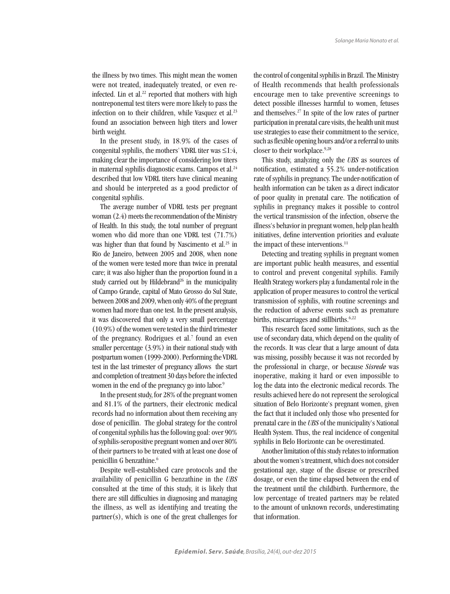the illness by two times. This might mean the women were not treated, inadequately treated, or even reinfected. Lin et al. $22$  reported that mothers with high nontreponemal test titers were more likely to pass the infection on to their children, while Vasquez et al.<sup>23</sup> found an association between high titers and lower birth weight.

In the present study, in 18.9% of the cases of congenital syphilis, the mothers' VDRL titer was  $\leq 1:4$ , making clear the importance of considering low titers in maternal syphilis diagnostic exams. Campos et al.<sup>24</sup> described that low VDRL titers have clinical meaning and should be interpreted as a good predictor of congenital syphilis.

The average number of VDRL tests per pregnant woman (2.4) meets the recommendation of the Ministry of Health. In this study, the total number of pregnant women who did more than one VDRL test (71.7%) was higher than that found by Nascimento et al.<sup>25</sup> in Rio de Janeiro, between 2005 and 2008, when none of the women were tested more than twice in prenatal care; it was also higher than the proportion found in a study carried out by Hildebrand<sup>26</sup> in the municipality of Campo Grande, capital of Mato Grosso do Sul State, between 2008 and 2009, when only 40% of the pregnant women had more than one test. In the present analysis, it was discovered that only a very small percentage (10.9%) of the women were tested in the third trimester of the pregnancy. Rodrigues et al.<sup>7</sup> found an even smaller percentage (3.9%) in their national study with postpartum women (1999-2000). Performing the VDRL test in the last trimester of pregnancy allows the start and completion of treatment 30 days before the infected women in the end of the pregnancy go into labor.<sup>9</sup>

In the present study, for 28% of the pregnant women and 81.1% of the partners, their electronic medical records had no information about them receiving any dose of penicillin. The global strategy for the control of congenital syphilis has the following goal: over 90% of syphilis-seropositive pregnant women and over 80% of their partners to be treated with at least one dose of penicillin G benzathine.<sup>6</sup>

Despite well-established care protocols and the availability of penicillin G benzathine in the *UBS* consulted at the time of this study, it is likely that there are still difficulties in diagnosing and managing the illness, as well as identifying and treating the partner(s), which is one of the great challenges for the control of congenital syphilis in Brazil. The Ministry of Health recommends that health professionals encourage men to take preventive screenings to detect possible illnesses harmful to women, fetuses and themselves.27 In spite of the low rates of partner participation in prenatal care visits, the health unit must use strategies to ease their commitment to the service, such as flexible opening hours and/or a referral to units closer to their workplace.<sup>9,28</sup>

This study, analyzing only the *UBS* as sources of notification, estimated a 55.2% under-notification rate of syphilis in pregnancy. The under-notification of health information can be taken as a direct indicator of poor quality in prenatal care. The notification of syphilis in pregnancy makes it possible to control the vertical transmission of the infection, observe the illness's behavior in pregnant women, help plan health initiatives, define intervention priorities and evaluate the impact of these interventions.<sup>11</sup>

Detecting and treating syphilis in pregnant women are important public health measures, and essential to control and prevent congenital syphilis. Family Health Strategy workers play a fundamental role in the application of proper measures to control the vertical transmission of syphilis, with routine screenings and the reduction of adverse events such as premature births, miscarriages and stillbirths.<sup>6,22</sup>

This research faced some limitations, such as the use of secondary data, which depend on the quality of the records. It was clear that a large amount of data was missing, possibly because it was not recorded by the professional in charge, or because *Sisrede* was inoperative, making it hard or even impossible to log the data into the electronic medical records. The results achieved here do not represent the serological situation of Belo Horizonte's pregnant women, given the fact that it included only those who presented for prenatal care in the *UBS* of the municipality's National Health System. Thus, the real incidence of congenital syphilis in Belo Horizonte can be overestimated.

Another limitation of this study relates to information about the women's treatment, which does not consider gestational age, stage of the disease or prescribed dosage, or even the time elapsed between the end of the treatment until the childbirth. Furthermore, the low percentage of treated partners may be related to the amount of unknown records, underestimating that information.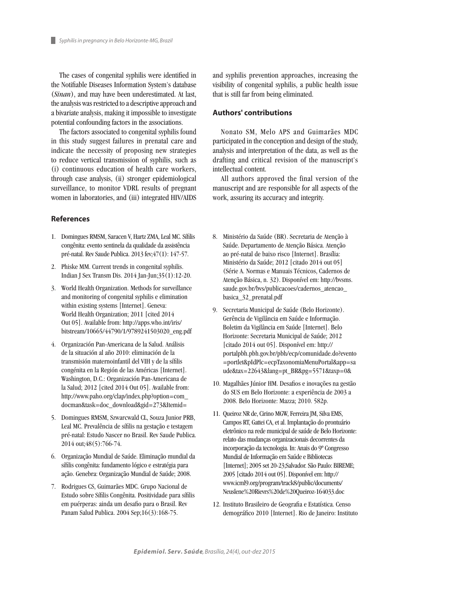The cases of congenital syphilis were identified in the Notifiable Diseases Information System's database (*Sinan*), and may have been underestimated. At last, the analysis was restricted to a descriptive approach and a bivariate analysis, making it impossible to investigate potential confounding factors in the associations.

The factors associated to congenital syphilis found in this study suggest failures in prenatal care and indicate the necessity of proposing new strategies to reduce vertical transmission of syphilis, such as (i) continuous education of health care workers, through case analysis, (ii) stronger epidemiological surveillance, to monitor VDRL results of pregnant women in laboratories, and (iii) integrated HIV/AIDS

## **References**

- 1. Domingues RMSM, Saracen V, Hartz ZMA, Leal MC. Sífilis congênita: evento sentinela da qualidade da assistência pré-natal. Rev Saude Publica. 2013 fev;47(1): 147-57.
- 2. Phiske MM. Current trends in congenital syphilis. Indian J Sex Transm Dis. 2014 Jan-Jun;35(1):12-20.
- 3. World Health Organization. Methods for surveillance and monitoring of congenital syphilis e elimination within existing systems [Internet]. Geneva: World Health Organization; 2011 [cited 2014 Out 05]. Available from: http://apps.who.int/iris/ bitstream/10665/44790/1/9789241503020\_eng.pdf
- 4. Organización Pan-Americana de la Salud. Análisis de la situación al año 2010: eliminación de la transmisión maternoinfantil del VIH y de la sífilis congénita en la Región de las Américas [Internet]. Washington, D.C.: Organización Pan-Americana de la Salud; 2012 [cited 2014 Out 05]. Available from: http://www.paho.org/clap/index.php?option=com\_ docman&task=doc\_download&gid=273&Itemid=
- 5. Domingues RMSM, Szwarcwald CL, Souza Junior PRB, Leal MC. Prevalência de sífilis na gestação e testagem pré-natal: Estudo Nascer no Brasil. Rev Saude Publica. 2014 out;48(5):766-74.
- 6. Organização Mundial de Saúde. Eliminação mundial da sífilis congênita: fundamento lógico e estratégia para ação. Genebra: Organização Mundial de Saúde; 2008.
- 7. Rodrigues CS, Guimarães MDC. Grupo Nacional de Estudo sobre Sífilis Congênita. Positividade para sífilis em puérperas: ainda um desafio para o Brasil. Rev Panam Salud Publica. 2004 Sep;16(3):168-75.

and syphilis prevention approaches, increasing the visibility of congenital syphilis, a public health issue that is still far from being eliminated.

#### **Authors' contributions**

Nonato SM, Melo APS and Guimarães MDC participated in the conception and design of the study, analysis and interpretation of the data, as well as the drafting and critical revision of the manuscript's intellectual content.

All authors approved the final version of the manuscript and are responsible for all aspects of the work, assuring its accuracy and integrity.

- 8. Ministério da Saúde (BR). Secretaria de Atenção à Saúde. Departamento de Atenção Básica. Atenção ao pré-natal de baixo risco [Internet]. Brasília: Ministério da Saúde; 2012 [citado 2014 out 05] (Série A. Normas e Manuais Técnicos, Cadernos de Atenção Básica, n. 32). Disponível em: http://bvsms. saude.gov.br/bvs/publicacoes/cadernos\_atencao\_ basica\_32\_prenatal.pdf
- 9. Secretaria Municipal de Saúde (Belo Horizonte). Gerência de Vigilância em Saúde e Informação. Boletim da Vigilância em Saúde [Internet]. Belo Horizonte: Secretaria Municipal de Saúde; 2012 [citado 2014 out 05]. Disponível em: http:// portalpbh.pbh.gov.br/pbh/ecp/comunidade.do?evento =portlet&pIdPlc=ecpTaxonomiaMenuPortal&app=sa ude&tax=22643&lang=pt\_BR&pg=5571&taxp=0&
- 10. Magalhães Júnior HM. Desafios e inovações na gestão do SUS em Belo Horizonte: a experiência de 2003 a 2008. Belo Horizonte: Mazza; 2010. 582p.
- 11. Queiroz NR de, Cirino MGW, Ferreira JM, Silva EMS, Campos RT, Gattei CA, et al. Implantação do prontuário eletrônico na rede municipal de saúde de Belo Horizonte: relato das mudanças organizacionais decorrentes da incorporação da tecnologia. In: Anais do 9º Congresso Mundial de Informação em Saúde e Bibliotecas [Internet]; 2005 set 20-23;Salvador. São Paulo: BIREME; 2005 [citado 2014 out 05]. Disponível em: http:// www.icml9.org/program/track8/public/documents/ Neuslene%20Rievrs%20de%20Queiroz-164033.doc
- 12. Instituto Brasileiro de Geografia e Estatística. Censo demográfico 2010 [Internet]. Rio de Janeiro: Instituto